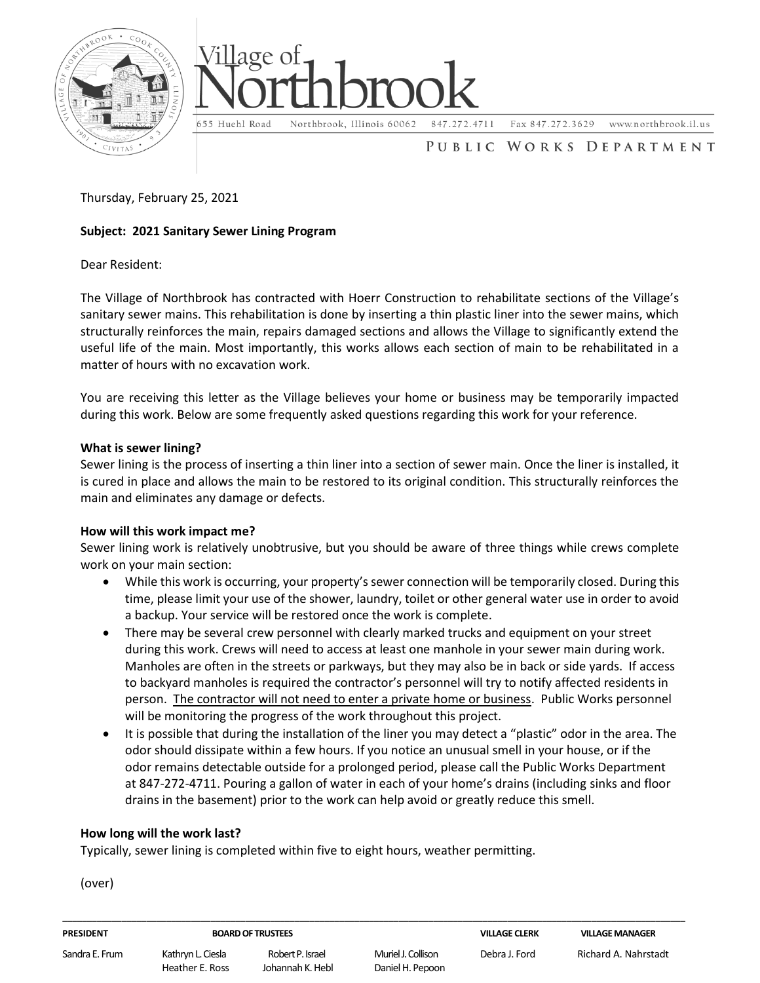



Fax 847.272.3629

www.northbrook.il.us

# PUBLIC WORKS DEPARTMENT

Thursday, February 25, 2021

# **Subject: 2021 Sanitary Sewer Lining Program**

Dear Resident:

The Village of Northbrook has contracted with Hoerr Construction to rehabilitate sections of the Village's sanitary sewer mains. This rehabilitation is done by inserting a thin plastic liner into the sewer mains, which structurally reinforces the main, repairs damaged sections and allows the Village to significantly extend the useful life of the main. Most importantly, this works allows each section of main to be rehabilitated in a matter of hours with no excavation work.

You are receiving this letter as the Village believes your home or business may be temporarily impacted during this work. Below are some frequently asked questions regarding this work for your reference.

## **What is sewer lining?**

Sewer lining is the process of inserting a thin liner into a section of sewer main. Once the liner is installed, it is cured in place and allows the main to be restored to its original condition. This structurally reinforces the main and eliminates any damage or defects.

## **How will this work impact me?**

Sewer lining work is relatively unobtrusive, but you should be aware of three things while crews complete work on your main section:

- While this work is occurring, your property's sewer connection will be temporarily closed. During this time, please limit your use of the shower, laundry, toilet or other general water use in order to avoid a backup. Your service will be restored once the work is complete.
- There may be several crew personnel with clearly marked trucks and equipment on your street during this work. Crews will need to access at least one manhole in your sewer main during work. Manholes are often in the streets or parkways, but they may also be in back or side yards. If access to backyard manholes is required the contractor's personnel will try to notify affected residents in person. The contractor will not need to enter a private home or business. Public Works personnel will be monitoring the progress of the work throughout this project.
- It is possible that during the installation of the liner you may detect a "plastic" odor in the area. The odor should dissipate within a few hours. If you notice an unusual smell in your house, or if the odor remains detectable outside for a prolonged period, please call the Public Works Department at 847-272-4711. Pouring a gallon of water in each of your home's drains (including sinks and floor drains in the basement) prior to the work can help avoid or greatly reduce this smell.

**\_\_\_\_\_\_\_\_\_\_\_\_\_\_\_\_\_\_\_\_\_\_\_\_\_\_\_\_\_\_\_\_\_\_\_\_\_\_\_\_\_\_\_\_\_\_\_\_\_\_\_\_\_\_\_\_\_\_\_\_\_\_\_\_\_\_\_\_\_\_\_\_\_\_\_\_\_\_\_\_\_\_\_\_\_\_\_\_\_\_\_\_\_\_\_\_\_\_\_\_\_\_\_\_\_\_\_\_\_\_\_\_\_\_\_\_\_\_\_\_\_\_\_\_\_\_**

# **How long will the work last?**

Typically, sewer lining is completed within five to eight hours, weather permitting.

(over)

| <b>PRESIDENT</b> |  |  |
|------------------|--|--|
|                  |  |  |

#### **PRESIDENT BOARD OF TRUSTEES VILLAGE CLERK VILLAGE MANAGER**

Sandra E. Frum Kathryn L. Ciesla Robert P. Israel Muriel J. Collison Debra J. Ford Richard A. Nahrstadt Heather E. Ross Johannah K. Hebl Daniel H. Pepoon